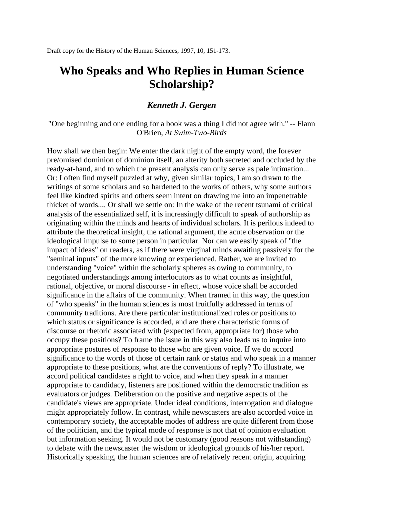## **Who Speaks and Who Replies in Human Science Scholarship?**

## *Kenneth J. Gergen*

"One beginning and one ending for a book was a thing I did not agree with." -- Flann O'Brien, *At Swim-Two-Birds* 

How shall we then begin: We enter the dark night of the empty word, the forever pre/omised dominion of dominion itself, an alterity both secreted and occluded by the ready-at-hand, and to which the present analysis can only serve as pale intimation... Or: I often find myself puzzled at why, given similar topics, I am so drawn to the writings of some scholars and so hardened to the works of others, why some authors feel like kindred spirits and others seem intent on drawing me into an impenetrable thicket of words.... Or shall we settle on: In the wake of the recent tsunami of critical analysis of the essentialized self, it is increasingly difficult to speak of authorship as originating within the minds and hearts of individual scholars. It is perilous indeed to attribute the theoretical insight, the rational argument, the acute observation or the ideological impulse to some person in particular. Nor can we easily speak of "the impact of ideas" on readers, as if there were virginal minds awaiting passively for the "seminal inputs" of the more knowing or experienced. Rather, we are invited to understanding "voice" within the scholarly spheres as owing to community, to negotiated understandings among interlocutors as to what counts as insightful, rational, objective, or moral discourse - in effect, whose voice shall be accorded significance in the affairs of the community. When framed in this way, the question of "who speaks" in the human sciences is most fruitfully addressed in terms of community traditions. Are there particular institutionalized roles or positions to which status or significance is accorded, and are there characteristic forms of discourse or rhetoric associated with (expected from, appropriate for) those who occupy these positions? To frame the issue in this way also leads us to inquire into appropriate postures of response to those who are given voice. If we do accord significance to the words of those of certain rank or status and who speak in a manner appropriate to these positions, what are the conventions of reply? To illustrate, we accord political candidates a right to voice, and when they speak in a manner appropriate to candidacy, listeners are positioned within the democratic tradition as evaluators or judges. Deliberation on the positive and negative aspects of the candidate's views are appropriate. Under ideal conditions, interrogation and dialogue might appropriately follow. In contrast, while newscasters are also accorded voice in contemporary society, the acceptable modes of address are quite different from those of the politician, and the typical mode of response is not that of opinion evaluation but information seeking. It would not be customary (good reasons not withstanding) to debate with the newscaster the wisdom or ideological grounds of his/her report. Historically speaking, the human sciences are of relatively recent origin, acquiring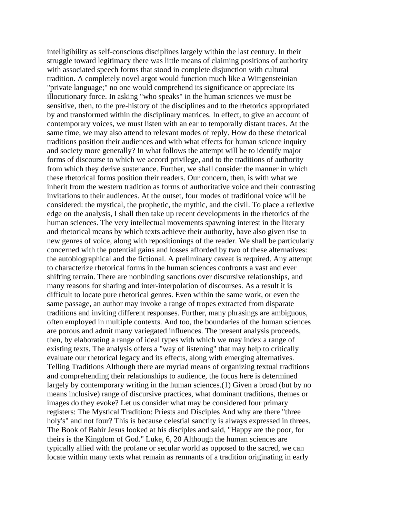intelligibility as self-conscious disciplines largely within the last century. In their struggle toward legitimacy there was little means of claiming positions of authority with associated speech forms that stood in complete disjunction with cultural tradition. A completely novel argot would function much like a Wittgensteinian "private language;" no one would comprehend its significance or appreciate its illocutionary force. In asking "who speaks" in the human sciences we must be sensitive, then, to the pre-history of the disciplines and to the rhetorics appropriated by and transformed within the disciplinary matrices. In effect, to give an account of contemporary voices, we must listen with an ear to temporally distant traces. At the same time, we may also attend to relevant modes of reply. How do these rhetorical traditions position their audiences and with what effects for human science inquiry and society more generally? In what follows the attempt will be to identify major forms of discourse to which we accord privilege, and to the traditions of authority from which they derive sustenance. Further, we shall consider the manner in which these rhetorical forms position their readers. Our concern, then, is with what we inherit from the western tradition as forms of authoritative voice and their contrasting invitations to their audiences. At the outset, four modes of traditional voice will be considered: the mystical, the prophetic, the mythic, and the civil. To place a reflexive edge on the analysis, I shall then take up recent developments in the rhetorics of the human sciences. The very intellectual movements spawning interest in the literary and rhetorical means by which texts achieve their authority, have also given rise to new genres of voice, along with repositionings of the reader. We shall be particularly concerned with the potential gains and losses afforded by two of these alternatives: the autobiographical and the fictional. A preliminary caveat is required. Any attempt to characterize rhetorical forms in the human sciences confronts a vast and ever shifting terrain. There are nonbinding sanctions over discursive relationships, and many reasons for sharing and inter-interpolation of discourses. As a result it is difficult to locate pure rhetorical genres. Even within the same work, or even the same passage, an author may invoke a range of tropes extracted from disparate traditions and inviting different responses. Further, many phrasings are ambiguous, often employed in multiple contexts. And too, the boundaries of the human sciences are porous and admit many variegated influences. The present analysis proceeds, then, by elaborating a range of ideal types with which we may index a range of existing texts. The analysis offers a "way of listening" that may help to critically evaluate our rhetorical legacy and its effects, along with emerging alternatives. Telling Traditions Although there are myriad means of organizing textual traditions and comprehending their relationships to audience, the focus here is determined largely by contemporary writing in the human sciences.(1) Given a broad (but by no means inclusive) range of discursive practices, what dominant traditions, themes or images do they evoke? Let us consider what may be considered four primary registers: The Mystical Tradition: Priests and Disciples And why are there "three holy's" and not four? This is because celestial sanctity is always expressed in threes. The Book of Bahir Jesus looked at his disciples and said, "Happy are the poor, for theirs is the Kingdom of God." Luke, 6, 20 Although the human sciences are typically allied with the profane or secular world as opposed to the sacred, we can locate within many texts what remain as remnants of a tradition originating in early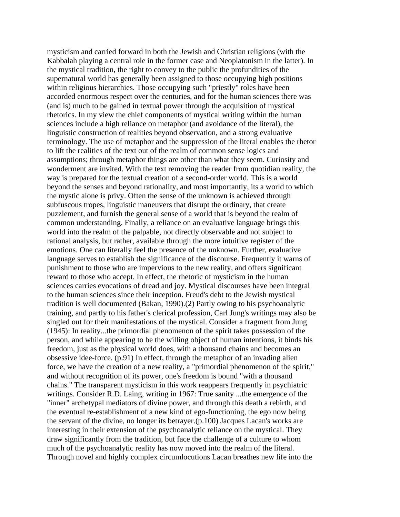mysticism and carried forward in both the Jewish and Christian religions (with the Kabbalah playing a central role in the former case and Neoplatonism in the latter). In the mystical tradition, the right to convey to the public the profundities of the supernatural world has generally been assigned to those occupying high positions within religious hierarchies. Those occupying such "priestly" roles have been accorded enormous respect over the centuries, and for the human sciences there was (and is) much to be gained in textual power through the acquisition of mystical rhetorics. In my view the chief components of mystical writing within the human sciences include a high reliance on metaphor (and avoidance of the literal), the linguistic construction of realities beyond observation, and a strong evaluative terminology. The use of metaphor and the suppression of the literal enables the rhetor to lift the realities of the text out of the realm of common sense logics and assumptions; through metaphor things are other than what they seem. Curiosity and wonderment are invited. With the text removing the reader from quotidian reality, the way is prepared for the textual creation of a second-order world. This is a world beyond the senses and beyond rationality, and most importantly, its a world to which the mystic alone is privy. Often the sense of the unknown is achieved through subfuscous tropes, linguistic maneuvers that disrupt the ordinary, that create puzzlement, and furnish the general sense of a world that is beyond the realm of common understanding. Finally, a reliance on an evaluative language brings this world into the realm of the palpable, not directly observable and not subject to rational analysis, but rather, available through the more intuitive register of the emotions. One can literally feel the presence of the unknown. Further, evaluative language serves to establish the significance of the discourse. Frequently it warns of punishment to those who are impervious to the new reality, and offers significant reward to those who accept. In effect, the rhetoric of mysticism in the human sciences carries evocations of dread and joy. Mystical discourses have been integral to the human sciences since their inception. Freud's debt to the Jewish mystical tradition is well documented (Bakan, 1990).(2) Partly owing to his psychoanalytic training, and partly to his father's clerical profession, Carl Jung's writings may also be singled out for their manifestations of the mystical. Consider a fragment from Jung (1945): In reality...the primordial phenomenon of the spirit takes possession of the person, and while appearing to be the willing object of human intentions, it binds his freedom, just as the physical world does, with a thousand chains and becomes an obsessive idee-force. (p.91) In effect, through the metaphor of an invading alien force, we have the creation of a new reality, a "primordial phenomenon of the spirit," and without recognition of its power, one's freedom is bound "with a thousand chains." The transparent mysticism in this work reappears frequently in psychiatric writings. Consider R.D. Laing, writing in 1967: True sanity ...the emergence of the "inner" archetypal mediators of divine power, and through this death a rebirth, and the eventual re-establishment of a new kind of ego-functioning, the ego now being the servant of the divine, no longer its betrayer.(p.100) Jacques Lacan's works are interesting in their extension of the psychoanalytic reliance on the mystical. They draw significantly from the tradition, but face the challenge of a culture to whom much of the psychoanalytic reality has now moved into the realm of the literal. Through novel and highly complex circumlocutions Lacan breathes new life into the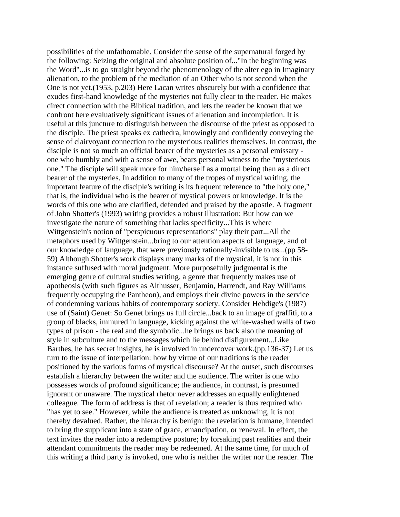possibilities of the unfathomable. Consider the sense of the supernatural forged by the following: Seizing the original and absolute position of..."In the beginning was the Word"...is to go straight beyond the phenomenology of the alter ego in Imaginary alienation, to the problem of the mediation of an Other who is not second when the One is not yet.(1953, p.203) Here Lacan writes obscurely but with a confidence that exudes first-hand knowledge of the mysteries not fully clear to the reader. He makes direct connection with the Biblical tradition, and lets the reader be known that we confront here evaluatively significant issues of alienation and incompletion. It is useful at this juncture to distinguish between the discourse of the priest as opposed to the disciple. The priest speaks ex cathedra, knowingly and confidently conveying the sense of clairvoyant connection to the mysterious realities themselves. In contrast, the disciple is not so much an official bearer of the mysteries as a personal emissary one who humbly and with a sense of awe, bears personal witness to the "mysterious one." The disciple will speak more for him/herself as a mortal being than as a direct bearer of the mysteries. In addition to many of the tropes of mystical writing, the important feature of the disciple's writing is its frequent reference to "the holy one," that is, the individual who is the bearer of mystical powers or knowledge. It is the words of this one who are clarified, defended and praised by the apostle. A fragment of John Shotter's (1993) writing provides a robust illustration: But how can we investigate the nature of something that lacks specificity...This is where Wittgenstein's notion of "perspicuous representations" play their part...All the metaphors used by Wittgenstein...bring to our attention aspects of language, and of our knowledge of language, that were previously rationally-invisible to us...(pp 58- 59) Although Shotter's work displays many marks of the mystical, it is not in this instance suffused with moral judgment. More purposefully judgmental is the emerging genre of cultural studies writing, a genre that frequently makes use of apotheosis (with such figures as Althusser, Benjamin, Harrendt, and Ray Williams frequently occupying the Pantheon), and employs their divine powers in the service of condemning various habits of contemporary society. Consider Hebdige's (1987) use of (Saint) Genet: So Genet brings us full circle...back to an image of graffiti, to a group of blacks, immured in language, kicking against the white-washed walls of two types of prison - the real and the symbolic...he brings us back also the meaning of style in subculture and to the messages which lie behind disfigurement...Like Barthes, he has secret insights, he is involved in undercover work.(pp.136-37) Let us turn to the issue of interpellation: how by virtue of our traditions is the reader positioned by the various forms of mystical discourse? At the outset, such discourses establish a hierarchy between the writer and the audience. The writer is one who possesses words of profound significance; the audience, in contrast, is presumed ignorant or unaware. The mystical rhetor never addresses an equally enlightened colleague. The form of address is that of revelation; a reader is thus required who "has yet to see." However, while the audience is treated as unknowing, it is not thereby devalued. Rather, the hierarchy is benign: the revelation is humane, intended to bring the supplicant into a state of grace, emancipation, or renewal. In effect, the text invites the reader into a redemptive posture; by forsaking past realities and their attendant commitments the reader may be redeemed. At the same time, for much of this writing a third party is invoked, one who is neither the writer nor the reader. The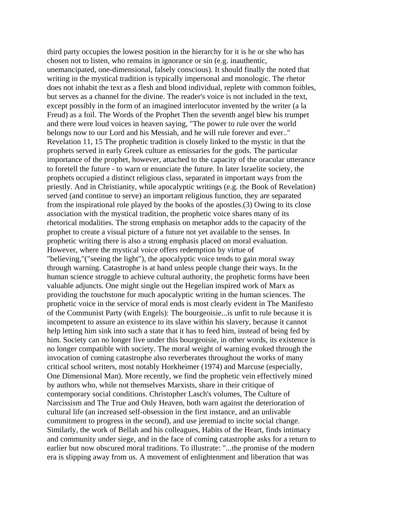third party occupies the lowest position in the hierarchy for it is he or she who has chosen not to listen, who remains in ignorance or sin (e.g. inauthentic, unemancipated, one-dimensional, falsely conscious). It should finally the noted that writing in the mystical tradition is typically impersonal and monologic. The rhetor does not inhabit the text as a flesh and blood individual, replete with common foibles, but serves as a channel for the divine. The reader's voice is not included in the text, except possibly in the form of an imagined interlocutor invented by the writer (a la Freud) as a foil. The Words of the Prophet Then the seventh angel blew his trumpet and there were loud voices in heaven saying, "The power to rule over the world belongs now to our Lord and his Messiah, and he will rule forever and ever.." Revelation 11, 15 The prophetic tradition is closely linked to the mystic in that the prophets served in early Greek culture as emissaries for the gods. The particular importance of the prophet, however, attached to the capacity of the oracular utterance to foretell the future - to warn or enunciate the future. In later Israelite society, the prophets occupied a distinct religious class, separated in important ways from the priestly. And in Christianity, while apocalyptic writings (e.g. the Book of Revelation) served (and continue to serve) an important religious function, they are separated from the inspirational role played by the books of the apostles.(3) Owing to its close association with the mystical tradition, the prophetic voice shares many of its rhetorical modalities. The strong emphasis on metaphor adds to the capacity of the prophet to create a visual picture of a future not yet available to the senses. In prophetic writing there is also a strong emphasis placed on moral evaluation. However, where the mystical voice offers redemption by virtue of "believing,"("seeing the light"), the apocalyptic voice tends to gain moral sway through warning. Catastrophe is at hand unless people change their ways. In the human science struggle to achieve cultural authority, the prophetic forms have been valuable adjuncts. One might single out the Hegelian inspired work of Marx as providing the touchstone for much apocalyptic writing in the human sciences. The prophetic voice in the service of moral ends is most clearly evident in The Manifesto of the Communist Party (with Engels): The bourgeoisie...is unfit to rule because it is incompetent to assure an existence to its slave within his slavery, because it cannot help letting him sink into such a state that it has to feed him, instead of being fed by him. Society can no longer live under this bourgeoisie, in other words, its existence is no longer compatible with society. The moral weight of warning evoked through the invocation of coming catastrophe also reverberates throughout the works of many critical school writers, most notably Horkheimer (1974) and Marcuse (especially, One Dimensional Man). More recently, we find the prophetic vein effectively mined by authors who, while not themselves Marxists, share in their critique of contemporary social conditions. Christopher Lasch's volumes, The Culture of Narcissism and The True and Only Heaven, both warn against the deterioration of cultural life (an increased self-obsession in the first instance, and an unlivable commitment to progress in the second), and use jeremiad to incite social change. Similarly, the work of Bellah and his colleagues, Habits of the Heart, finds intimacy and community under siege, and in the face of coming catastrophe asks for a return to earlier but now obscured moral traditions. To illustrate: "...the promise of the modern era is slipping away from us. A movement of enlightenment and liberation that was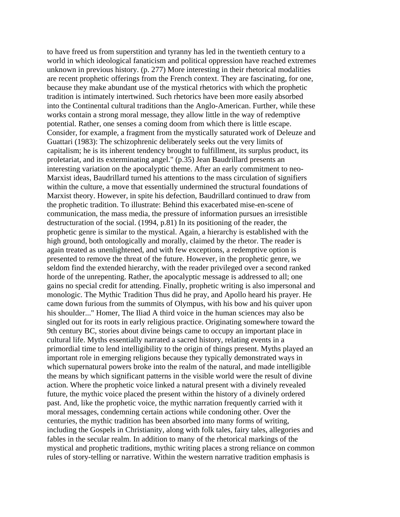to have freed us from superstition and tyranny has led in the twentieth century to a world in which ideological fanaticism and political oppression have reached extremes unknown in previous history. (p. 277) More interesting in their rhetorical modalities are recent prophetic offerings from the French context. They are fascinating, for one, because they make abundant use of the mystical rhetorics with which the prophetic tradition is intimately intertwined. Such rhetorics have been more easily absorbed into the Continental cultural traditions than the Anglo-American. Further, while these works contain a strong moral message, they allow little in the way of redemptive potential. Rather, one senses a coming doom from which there is little escape. Consider, for example, a fragment from the mystically saturated work of Deleuze and Guattari (1983): The schizophrenic deliberately seeks out the very limits of capitalism; he is its inherent tendency brought to fulfillment, its surplus product, its proletariat, and its exterminating angel." (p.35) Jean Baudrillard presents an interesting variation on the apocalyptic theme. After an early commitment to neo-Marxist ideas, Baudrillard turned his attentions to the mass circulation of signifiers within the culture, a move that essentially undermined the structural foundations of Marxist theory. However, in spite his defection, Baudrillard continued to draw from the prophetic tradition. To illustrate: Behind this exacerbated mise-en-scene of communication, the mass media, the pressure of information pursues an irresistible destructuration of the social. (1994, p.81) In its positioning of the reader, the prophetic genre is similar to the mystical. Again, a hierarchy is established with the high ground, both ontologically and morally, claimed by the rhetor. The reader is again treated as unenlightened, and with few exceptions, a redemptive option is presented to remove the threat of the future. However, in the prophetic genre, we seldom find the extended hierarchy, with the reader privileged over a second ranked horde of the unrepenting. Rather, the apocalyptic message is addressed to all; one gains no special credit for attending. Finally, prophetic writing is also impersonal and monologic. The Mythic Tradition Thus did he pray, and Apollo heard his prayer. He came down furious from the summits of Olympus, with his bow and his quiver upon his shoulder..." Homer, The Iliad A third voice in the human sciences may also be singled out for its roots in early religious practice. Originating somewhere toward the 9th century BC, stories about divine beings came to occupy an important place in cultural life. Myths essentially narrated a sacred history, relating events in a primordial time to lend intelligibility to the origin of things present. Myths played an important role in emerging religions because they typically demonstrated ways in which supernatural powers broke into the realm of the natural, and made intelligible the means by which significant patterns in the visible world were the result of divine action. Where the prophetic voice linked a natural present with a divinely revealed future, the mythic voice placed the present within the history of a divinely ordered past. And, like the prophetic voice, the mythic narration frequently carried with it moral messages, condemning certain actions while condoning other. Over the centuries, the mythic tradition has been absorbed into many forms of writing, including the Gospels in Christianity, along with folk tales, fairy tales, allegories and fables in the secular realm. In addition to many of the rhetorical markings of the mystical and prophetic traditions, mythic writing places a strong reliance on common rules of story-telling or narrative. Within the western narrative tradition emphasis is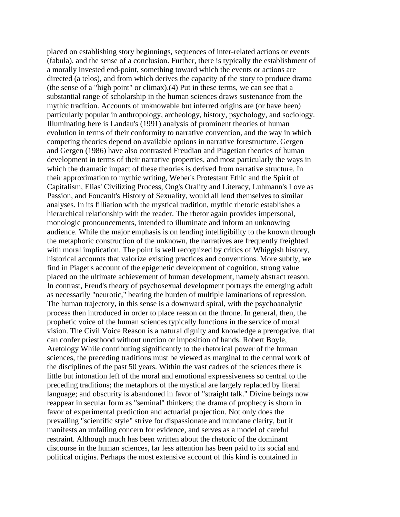placed on establishing story beginnings, sequences of inter-related actions or events (fabula), and the sense of a conclusion. Further, there is typically the establishment of a morally invested end-point, something toward which the events or actions are directed (a telos), and from which derives the capacity of the story to produce drama (the sense of a "high point" or climax).(4) Put in these terms, we can see that a substantial range of scholarship in the human sciences draws sustenance from the mythic tradition. Accounts of unknowable but inferred origins are (or have been) particularly popular in anthropology, archeology, history, psychology, and sociology. Illuminating here is Landau's (1991) analysis of prominent theories of human evolution in terms of their conformity to narrative convention, and the way in which competing theories depend on available options in narrative forestructure. Gergen and Gergen (1986) have also contrasted Freudian and Piagetian theories of human development in terms of their narrative properties, and most particularly the ways in which the dramatic impact of these theories is derived from narrative structure. In their approximation to mythic writing, Weber's Protestant Ethic and the Spirit of Capitalism, Elias' Civilizing Process, Ong's Orality and Literacy, Luhmann's Love as Passion, and Foucault's History of Sexuality, would all lend themselves to similar analyses. In its filliation with the mystical tradition, mythic rhetoric establishes a hierarchical relationship with the reader. The rhetor again provides impersonal, monologic pronouncements, intended to illuminate and inform an unknowing audience. While the major emphasis is on lending intelligibility to the known through the metaphoric construction of the unknown, the narratives are frequently freighted with moral implication. The point is well recognized by critics of Whiggish history, historical accounts that valorize existing practices and conventions. More subtly, we find in Piaget's account of the epigenetic development of cognition, strong value placed on the ultimate achievement of human development, namely abstract reason. In contrast, Freud's theory of psychosexual development portrays the emerging adult as necessarily "neurotic," bearing the burden of multiple laminations of repression. The human trajectory, in this sense is a downward spiral, with the psychoanalytic process then introduced in order to place reason on the throne. In general, then, the prophetic voice of the human sciences typically functions in the service of moral vision. The Civil Voice Reason is a natural dignity and knowledge a prerogative, that can confer priesthood without unction or imposition of hands. Robert Boyle, Aretology While contributing significantly to the rhetorical power of the human sciences, the preceding traditions must be viewed as marginal to the central work of the disciplines of the past 50 years. Within the vast cadres of the sciences there is little but intonation left of the moral and emotional expressiveness so central to the preceding traditions; the metaphors of the mystical are largely replaced by literal language; and obscurity is abandoned in favor of "straight talk." Divine beings now reappear in secular form as "seminal" thinkers; the drama of prophecy is shorn in favor of experimental prediction and actuarial projection. Not only does the prevailing "scientific style" strive for dispassionate and mundane clarity, but it manifests an unfailing concern for evidence, and serves as a model of careful restraint. Although much has been written about the rhetoric of the dominant discourse in the human sciences, far less attention has been paid to its social and political origins. Perhaps the most extensive account of this kind is contained in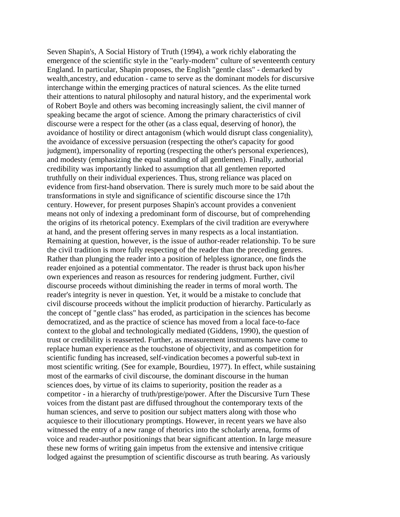Seven Shapin's, A Social History of Truth (1994), a work richly elaborating the emergence of the scientific style in the "early-modern" culture of seventeenth century England. In particular, Shapin proposes, the English "gentle class" - demarked by wealth,ancestry, and education - came to serve as the dominant models for discursive interchange within the emerging practices of natural sciences. As the elite turned their attentions to natural philosophy and natural history, and the experimental work of Robert Boyle and others was becoming increasingly salient, the civil manner of speaking became the argot of science. Among the primary characteristics of civil discourse were a respect for the other (as a class equal, deserving of honor), the avoidance of hostility or direct antagonism (which would disrupt class congeniality), the avoidance of excessive persuasion (respecting the other's capacity for good judgment), impersonality of reporting (respecting the other's personal experiences), and modesty (emphasizing the equal standing of all gentlemen). Finally, authorial credibility was importantly linked to assumption that all gentlemen reported truthfully on their individual experiences. Thus, strong reliance was placed on evidence from first-hand observation. There is surely much more to be said about the transformations in style and significance of scientific discourse since the 17th century. However, for present purposes Shapin's account provides a convenient means not only of indexing a predominant form of discourse, but of comprehending the origins of its rhetorical potency. Exemplars of the civil tradition are everywhere at hand, and the present offering serves in many respects as a local instantiation. Remaining at question, however, is the issue of author-reader relationship. To be sure the civil tradition is more fully respecting of the reader than the preceding genres. Rather than plunging the reader into a position of helpless ignorance, one finds the reader enjoined as a potential commentator. The reader is thrust back upon his/her own experiences and reason as resources for rendering judgment. Further, civil discourse proceeds without diminishing the reader in terms of moral worth. The reader's integrity is never in question. Yet, it would be a mistake to conclude that civil discourse proceeds without the implicit production of hierarchy. Particularly as the concept of "gentle class" has eroded, as participation in the sciences has become democratized, and as the practice of science has moved from a local face-to-face context to the global and technologically mediated (Giddens, 1990), the question of trust or credibility is reasserted. Further, as measurement instruments have come to replace human experience as the touchstone of objectivity, and as competition for scientific funding has increased, self-vindication becomes a powerful sub-text in most scientific writing. (See for example, Bourdieu, 1977). In effect, while sustaining most of the earmarks of civil discourse, the dominant discourse in the human sciences does, by virtue of its claims to superiority, position the reader as a competitor - in a hierarchy of truth/prestige/power. After the Discursive Turn These voices from the distant past are diffused throughout the contemporary texts of the human sciences, and serve to position our subject matters along with those who acquiesce to their illocutionary promptings. However, in recent years we have also witnessed the entry of a new range of rhetorics into the scholarly arena, forms of voice and reader-author positionings that bear significant attention. In large measure these new forms of writing gain impetus from the extensive and intensive critique lodged against the presumption of scientific discourse as truth bearing. As variously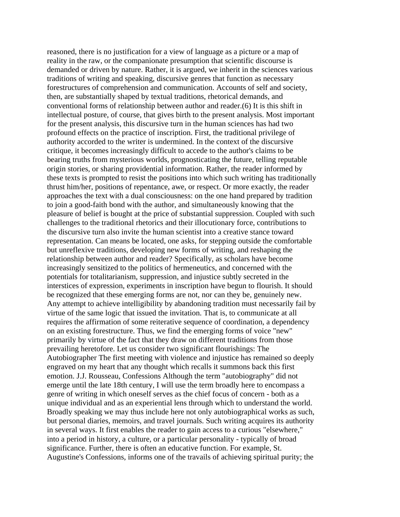reasoned, there is no justification for a view of language as a picture or a map of reality in the raw, or the companionate presumption that scientific discourse is demanded or driven by nature. Rather, it is argued, we inherit in the sciences various traditions of writing and speaking, discursive genres that function as necessary forestructures of comprehension and communication. Accounts of self and society, then, are substantially shaped by textual traditions, rhetorical demands, and conventional forms of relationship between author and reader.(6) It is this shift in intellectual posture, of course, that gives birth to the present analysis. Most important for the present analysis, this discursive turn in the human sciences has had two profound effects on the practice of inscription. First, the traditional privilege of authority accorded to the writer is undermined. In the context of the discursive critique, it becomes increasingly difficult to accede to the author's claims to be bearing truths from mysterious worlds, prognosticating the future, telling reputable origin stories, or sharing providential information. Rather, the reader informed by these texts is prompted to resist the positions into which such writing has traditionally thrust him/her, positions of repentance, awe, or respect. Or more exactly, the reader approaches the text with a dual consciousness: on the one hand prepared by tradition to join a good-faith bond with the author, and simultaneously knowing that the pleasure of belief is bought at the price of substantial suppression. Coupled with such challenges to the traditional rhetorics and their illocutionary force, contributions to the discursive turn also invite the human scientist into a creative stance toward representation. Can means be located, one asks, for stepping outside the comfortable but unreflexive traditions, developing new forms of writing, and reshaping the relationship between author and reader? Specifically, as scholars have become increasingly sensitized to the politics of hermeneutics, and concerned with the potentials for totalitarianism, suppression, and injustice subtly secreted in the interstices of expression, experiments in inscription have begun to flourish. It should be recognized that these emerging forms are not, nor can they be, genuinely new. Any attempt to achieve intelligibility by abandoning tradition must necessarily fail by virtue of the same logic that issued the invitation. That is, to communicate at all requires the affirmation of some reiterative sequence of coordination, a dependency on an existing forestructure. Thus, we find the emerging forms of voice "new" primarily by virtue of the fact that they draw on different traditions from those prevailing heretofore. Let us consider two significant flourishings: The Autobiographer The first meeting with violence and injustice has remained so deeply engraved on my heart that any thought which recalls it summons back this first emotion. J.J. Rousseau, Confessions Although the term "autobiography" did not emerge until the late 18th century, I will use the term broadly here to encompass a genre of writing in which oneself serves as the chief focus of concern - both as a unique individual and as an experiential lens through which to understand the world. Broadly speaking we may thus include here not only autobiographical works as such, but personal diaries, memoirs, and travel journals. Such writing acquires its authority in several ways. It first enables the reader to gain access to a curious "elsewhere," into a period in history, a culture, or a particular personality - typically of broad significance. Further, there is often an educative function. For example, St. Augustine's Confessions, informs one of the travails of achieving spiritual purity; the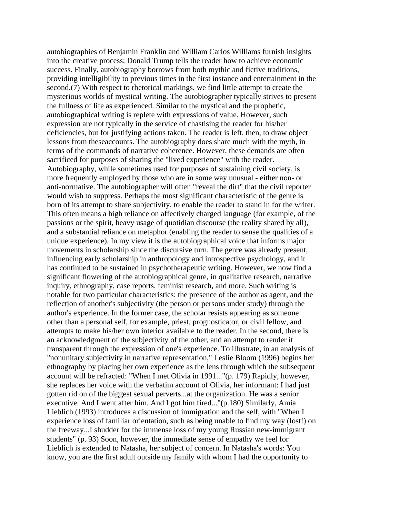autobiographies of Benjamin Franklin and William Carlos Williams furnish insights into the creative process; Donald Trump tells the reader how to achieve economic success. Finally, autobiography borrows from both mythic and fictive traditions, providing intelligibility to previous times in the first instance and entertainment in the second.(7) With respect to rhetorical markings, we find little attempt to create the mysterious worlds of mystical writing. The autobiographer typically strives to present the fullness of life as experienced. Similar to the mystical and the prophetic, autobiographical writing is replete with expressions of value. However, such expression are not typically in the service of chastising the reader for his/her deficiencies, but for justifying actions taken. The reader is left, then, to draw object lessons from theseaccounts. The autobiography does share much with the myth, in terms of the commands of narrative coherence. However, these demands are often sacrificed for purposes of sharing the "lived experience" with the reader. Autobiography, while sometimes used for purposes of sustaining civil society, is more frequently employed by those who are in some way unusual - either non- or anti-normative. The autobiographer will often "reveal the dirt" that the civil reporter would wish to suppress. Perhaps the most significant characteristic of the genre is born of its attempt to share subjectivity, to enable the reader to stand in for the writer. This often means a high reliance on affectively charged language (for example, of the passions or the spirit, heavy usage of quotidian discourse (the reality shared by all), and a substantial reliance on metaphor (enabling the reader to sense the qualities of a unique experience). In my view it is the autobiographical voice that informs major movements in scholarship since the discursive turn. The genre was already present, influencing early scholarship in anthropology and introspective psychology, and it has continued to be sustained in psychotherapeutic writing. However, we now find a significant flowering of the autobiographical genre, in qualitative research, narrative inquiry, ethnography, case reports, feminist research, and more. Such writing is notable for two particular characteristics: the presence of the author as agent, and the reflection of another's subjectivity (the person or persons under study) through the author's experience. In the former case, the scholar resists appearing as someone other than a personal self, for example, priest, prognosticator, or civil fellow, and attempts to make his/her own interior available to the reader. In the second, there is an acknowledgment of the subjectivity of the other, and an attempt to render it transparent through the expression of one's experience. To illustrate, in an analysis of "nonunitary subjectivity in narrative representation," Leslie Bloom (1996) begins her ethnography by placing her own experience as the lens through which the subsequent account will be refracted: "When I met Olivia in 1991..."(p. 179) Rapidly, however, she replaces her voice with the verbatim account of Olivia, her informant: I had just gotten rid on of the biggest sexual perverts...at the organization. He was a senior executive. And I went after him. And I got him fired..."(p.180) Similarly, Amia Lieblich (1993) introduces a discussion of immigration and the self, with "When I experience loss of familiar orientation, such as being unable to find my way (lost!) on the freeway...I shudder for the immense loss of my young Russian new-immigrant students" (p. 93) Soon, however, the immediate sense of empathy we feel for Lieblich is extended to Natasha, her subject of concern. In Natasha's words: You know, you are the first adult outside my family with whom I had the opportunity to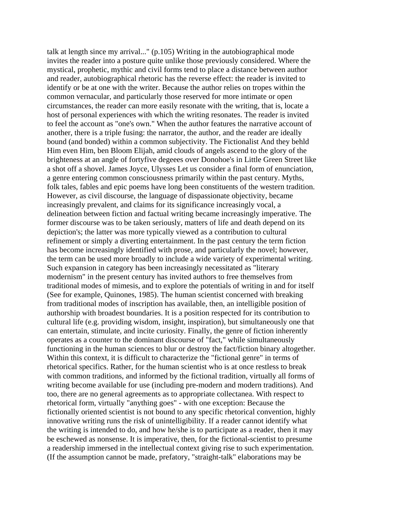talk at length since my arrival..." (p.105) Writing in the autobiographical mode invites the reader into a posture quite unlike those previously considered. Where the mystical, prophetic, mythic and civil forms tend to place a distance between author and reader, autobiographical rhetoric has the reverse effect: the reader is invited to identify or be at one with the writer. Because the author relies on tropes within the common vernacular, and particularly those reserved for more intimate or open circumstances, the reader can more easily resonate with the writing, that is, locate a host of personal experiences with which the writing resonates. The reader is invited to feel the account as "one's own." When the author features the narrative account of another, there is a triple fusing: the narrator, the author, and the reader are ideally bound (and bonded) within a common subjectivity. The Fictionalist And they behld Him even Him, ben Bloom Elijah, amid clouds of angels ascend to the glory of the brighteness at an angle of fortyfive degeees over Donohoe's in Little Green Street like a shot off a shovel. James Joyce, Ulysses Let us consider a final form of enunciation, a genre entering common consciousness primarily within the past century. Myths, folk tales, fables and epic poems have long been constituents of the western tradition. However, as civil discourse, the language of dispassionate objectivity, became increasingly prevalent, and claims for its significance increasingly vocal, a delineation between fiction and factual writing became increasingly imperative. The former discourse was to be taken seriously, matters of life and death depend on its depiction's; the latter was more typically viewed as a contribution to cultural refinement or simply a diverting entertainment. In the past century the term fiction has become increasingly identified with prose, and particularly the novel; however, the term can be used more broadly to include a wide variety of experimental writing. Such expansion in category has been increasingly necessitated as "literary modernism" in the present century has invited authors to free themselves from traditional modes of mimesis, and to explore the potentials of writing in and for itself (See for example, Quinones, 1985). The human scientist concerned with breaking from traditional modes of inscription has available, then, an intelligible position of authorship with broadest boundaries. It is a position respected for its contribution to cultural life (e.g. providing wisdom, insight, inspiration), but simultaneously one that can entertain, stimulate, and incite curiosity. Finally, the genre of fiction inherently operates as a counter to the dominant discourse of "fact," while simultaneously functioning in the human sciences to blur or destroy the fact/fiction binary altogether. Within this context, it is difficult to characterize the "fictional genre" in terms of rhetorical specifics. Rather, for the human scientist who is at once restless to break with common traditions, and informed by the fictional tradition, virtually all forms of writing become available for use (including pre-modern and modern traditions). And too, there are no general agreements as to appropriate collectanea. With respect to rhetorical form, virtually "anything goes" - with one exception: Because the fictionally oriented scientist is not bound to any specific rhetorical convention, highly innovative writing runs the risk of unintelligibility. If a reader cannot identify what the writing is intended to do, and how he/she is to participate as a reader, then it may be eschewed as nonsense. It is imperative, then, for the fictional-scientist to presume a readership immersed in the intellectual context giving rise to such experimentation. (If the assumption cannot be made, prefatory, "straight-talk" elaborations may be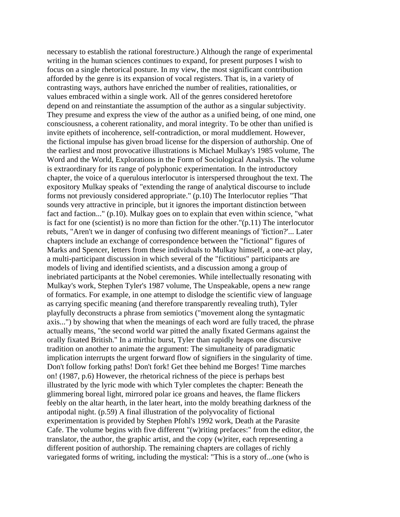necessary to establish the rational forestructure.) Although the range of experimental writing in the human sciences continues to expand, for present purposes I wish to focus on a single rhetorical posture. In my view, the most significant contribution afforded by the genre is its expansion of vocal registers. That is, in a variety of contrasting ways, authors have enriched the number of realities, rationalities, or values embraced within a single work. All of the genres considered heretofore depend on and reinstantiate the assumption of the author as a singular subjectivity. They presume and express the view of the author as a unified being, of one mind, one consciousness, a coherent rationality, and moral integrity. To be other than unified is invite epithets of incoherence, self-contradiction, or moral muddlement. However, the fictional impulse has given broad license for the dispersion of authorship. One of the earliest and most provocative illustrations is Michael Mulkay's 1985 volume, The Word and the World, Explorations in the Form of Sociological Analysis. The volume is extraordinary for its range of polyphonic experimentation. In the introductory chapter, the voice of a querulous interlocutor is interspersed throughout the text. The expository Mulkay speaks of "extending the range of analytical discourse to include forms not previously considered appropriate." (p.10) The Interlocutor replies "That sounds very attractive in principle, but it ignores the important distinction between fact and faction..." (p.10). Mulkay goes on to explain that even within science, "what is fact for one (scientist) is no more than fiction for the other."(p.11) The interlocutor rebuts, "Aren't we in danger of confusing two different meanings of 'fiction?'... Later chapters include an exchange of correspondence between the "fictional" figures of Marks and Spencer, letters from these individuals to Mulkay himself, a one-act play, a multi-participant discussion in which several of the "fictitious" participants are models of living and identified scientists, and a discussion among a group of inebriated participants at the Nobel ceremonies. While intellectually resonating with Mulkay's work, Stephen Tyler's 1987 volume, The Unspeakable, opens a new range of formatics. For example, in one attempt to dislodge the scientific view of language as carrying specific meaning (and therefore transparently revealing truth), Tyler playfully deconstructs a phrase from semiotics ("movement along the syntagmatic axis...") by showing that when the meanings of each word are fully traced, the phrase actually means, "the second world war pitted the anally fixated Germans against the orally fixated British." In a mirthic burst, Tyler than rapidly heaps one discursive tradition on another to animate the argument: The simultaneity of paradigmatic implication interrupts the urgent forward flow of signifiers in the singularity of time. Don't follow forking paths! Don't fork! Get thee behind me Borges! Time marches on! (1987, p.6) However, the rhetorical richness of the piece is perhaps best illustrated by the lyric mode with which Tyler completes the chapter: Beneath the glimmering boreal light, mirrored polar ice groans and heaves, the flame flickers feebly on the altar hearth, in the later heart, into the moldy breathing darkness of the antipodal night. (p.59) A final illustration of the polyvocality of fictional experimentation is provided by Stephen Pfohl's 1992 work, Death at the Parasite Cafe. The volume begins with five different "(w)riting prefaces:" from the editor, the translator, the author, the graphic artist, and the copy (w)riter, each representing a different position of authorship. The remaining chapters are collages of richly variegated forms of writing, including the mystical: "This is a story of...one (who is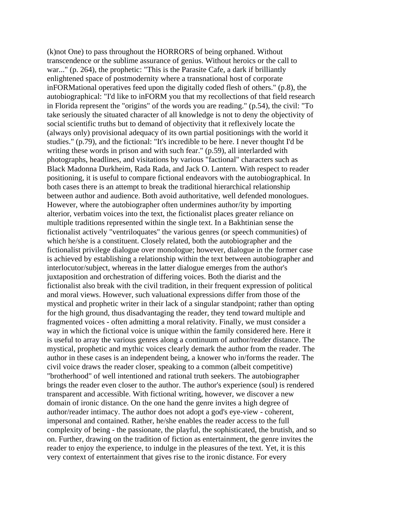(k)not One) to pass throughout the HORRORS of being orphaned. Without transcendence or the sublime assurance of genius. Without heroics or the call to war..." (p. 264), the prophetic: "This is the Parasite Cafe, a dark if brilliantly enlightened space of postmodernity where a transnational host of corporate inFORMational operatives feed upon the digitally coded flesh of others." (p.8), the autobiographical: "I'd like to inFORM you that my recollections of that field research in Florida represent the "origins" of the words you are reading." (p.54), the civil: "To take seriously the situated character of all knowledge is not to deny the objectivity of social scientific truths but to demand of objectivity that it reflexively locate the (always only) provisional adequacy of its own partial positionings with the world it studies." (p.79), and the fictional: "It's incredible to be here. I never thought I'd be writing these words in prison and with such fear." (p.59), all interlarded with photographs, headlines, and visitations by various "factional" characters such as Black Madonna Durkheim, Rada Rada, and Jack O. Lantern. With respect to reader positioning, it is useful to compare fictional endeavors with the autobiographical. In both cases there is an attempt to break the traditional hierarchical relationship between author and audience. Both avoid authoritative, well defended monologues. However, where the autobiographer often undermines author/ity by importing alterior, verbatim voices into the text, the fictionalist places greater reliance on multiple traditions represented within the single text. In a Bakhtinian sense the fictionalist actively "ventriloquates" the various genres (or speech communities) of which he/she is a constituent. Closely related, both the autobiographer and the fictionalist privilege dialogue over monologue; however, dialogue in the former case is achieved by establishing a relationship within the text between autobiographer and interlocutor/subject, whereas in the latter dialogue emerges from the author's juxtaposition and orchestration of differing voices. Both the diarist and the fictionalist also break with the civil tradition, in their frequent expression of political and moral views. However, such valuational expressions differ from those of the mystical and prophetic writer in their lack of a singular standpoint; rather than opting for the high ground, thus disadvantaging the reader, they tend toward multiple and fragmented voices - often admitting a moral relativity. Finally, we must consider a way in which the fictional voice is unique within the family considered here. Here it is useful to array the various genres along a continuum of author/reader distance. The mystical, prophetic and mythic voices clearly demark the author from the reader. The author in these cases is an independent being, a knower who in/forms the reader. The civil voice draws the reader closer, speaking to a common (albeit competitive) "brotherhood" of well intentioned and rational truth seekers. The autobiographer brings the reader even closer to the author. The author's experience (soul) is rendered transparent and accessible. With fictional writing, however, we discover a new domain of ironic distance. On the one hand the genre invites a high degree of author/reader intimacy. The author does not adopt a god's eye-view - coherent, impersonal and contained. Rather, he/she enables the reader access to the full complexity of being - the passionate, the playful, the sophisticated, the brutish, and so on. Further, drawing on the tradition of fiction as entertainment, the genre invites the reader to enjoy the experience, to indulge in the pleasures of the text. Yet, it is this very context of entertainment that gives rise to the ironic distance. For every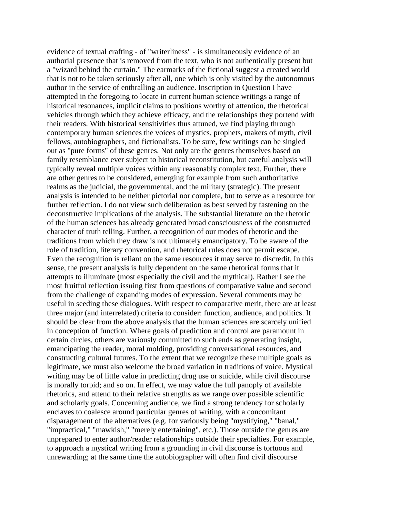evidence of textual crafting - of "writerliness" - is simultaneously evidence of an authorial presence that is removed from the text, who is not authentically present but a "wizard behind the curtain." The earmarks of the fictional suggest a created world that is not to be taken seriously after all, one which is only visited by the autonomous author in the service of enthralling an audience. Inscription in Question I have attempted in the foregoing to locate in current human science writings a range of historical resonances, implicit claims to positions worthy of attention, the rhetorical vehicles through which they achieve efficacy, and the relationships they portend with their readers. With historical sensitivities thus attuned, we find playing through contemporary human sciences the voices of mystics, prophets, makers of myth, civil fellows, autobiographers, and fictionalists. To be sure, few writings can be singled out as "pure forms" of these genres. Not only are the genres themselves based on family resemblance ever subject to historical reconstitution, but careful analysis will typically reveal multiple voices within any reasonably complex text. Further, there are other genres to be considered, emerging for example from such authoritative realms as the judicial, the governmental, and the military (strategic). The present analysis is intended to be neither pictorial nor complete, but to serve as a resource for further reflection. I do not view such deliberation as best served by fastening on the deconstructive implications of the analysis. The substantial literature on the rhetoric of the human sciences has already generated broad consciousness of the constructed character of truth telling. Further, a recognition of our modes of rhetoric and the traditions from which they draw is not ultimately emancipatory. To be aware of the role of tradition, literary convention, and rhetorical rules does not permit escape. Even the recognition is reliant on the same resources it may serve to discredit. In this sense, the present analysis is fully dependent on the same rhetorical forms that it attempts to illuminate (most especially the civil and the mythical). Rather I see the most fruitful reflection issuing first from questions of comparative value and second from the challenge of expanding modes of expression. Several comments may be useful in seeding these dialogues. With respect to comparative merit, there are at least three major (and interrelated) criteria to consider: function, audience, and politics. It should be clear from the above analysis that the human sciences are scarcely unified in conception of function. Where goals of prediction and control are paramount in certain circles, others are variously committed to such ends as generating insight, emancipating the reader, moral molding, providing conversational resources, and constructing cultural futures. To the extent that we recognize these multiple goals as legitimate, we must also welcome the broad variation in traditions of voice. Mystical writing may be of little value in predicting drug use or suicide, while civil discourse is morally torpid; and so on. In effect, we may value the full panoply of available rhetorics, and attend to their relative strengths as we range over possible scientific and scholarly goals. Concerning audience, we find a strong tendency for scholarly enclaves to coalesce around particular genres of writing, with a concomitant disparagement of the alternatives (e.g. for variously being "mystifying," "banal," "impractical," "mawkish," "merely entertaining", etc.). Those outside the genres are unprepared to enter author/reader relationships outside their specialties. For example, to approach a mystical writing from a grounding in civil discourse is tortuous and unrewarding; at the same time the autobiographer will often find civil discourse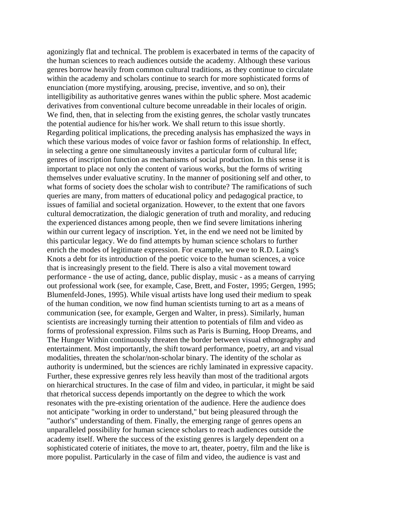agonizingly flat and technical. The problem is exacerbated in terms of the capacity of the human sciences to reach audiences outside the academy. Although these various genres borrow heavily from common cultural traditions, as they continue to circulate within the academy and scholars continue to search for more sophisticated forms of enunciation (more mystifying, arousing, precise, inventive, and so on), their intelligibility as authoritative genres wanes within the public sphere. Most academic derivatives from conventional culture become unreadable in their locales of origin. We find, then, that in selecting from the existing genres, the scholar vastly truncates the potential audience for his/her work. We shall return to this issue shortly. Regarding political implications, the preceding analysis has emphasized the ways in which these various modes of voice favor or fashion forms of relationship. In effect, in selecting a genre one simultaneously invites a particular form of cultural life; genres of inscription function as mechanisms of social production. In this sense it is important to place not only the content of various works, but the forms of writing themselves under evaluative scrutiny. In the manner of positioning self and other, to what forms of society does the scholar wish to contribute? The ramifications of such queries are many, from matters of educational policy and pedagogical practice, to issues of familial and societal organization. However, to the extent that one favors cultural democratization, the dialogic generation of truth and morality, and reducing the experienced distances among people, then we find severe limitations inhering within our current legacy of inscription. Yet, in the end we need not be limited by this particular legacy. We do find attempts by human science scholars to further enrich the modes of legitimate expression. For example, we owe to R.D. Laing's Knots a debt for its introduction of the poetic voice to the human sciences, a voice that is increasingly present to the field. There is also a vital movement toward performance - the use of acting, dance, public display, music - as a means of carrying out professional work (see, for example, Case, Brett, and Foster, 1995; Gergen, 1995; Blumenfeld-Jones, 1995). While visual artists have long used their medium to speak of the human condition, we now find human scientists turning to art as a means of communication (see, for example, Gergen and Walter, in press). Similarly, human scientists are increasingly turning their attention to potentials of film and video as forms of professional expression. Films such as Paris is Burning, Hoop Dreams, and The Hunger Within continuously threaten the border between visual ethnography and entertainment. Most importantly, the shift toward performance, poetry, art and visual modalities, threaten the scholar/non-scholar binary. The identity of the scholar as authority is undermined, but the sciences are richly laminated in expressive capacity. Further, these expressive genres rely less heavily than most of the traditional argots on hierarchical structures. In the case of film and video, in particular, it might be said that rhetorical success depends importantly on the degree to which the work resonates with the pre-existing orientation of the audience. Here the audience does not anticipate "working in order to understand," but being pleasured through the "author's" understanding of them. Finally, the emerging range of genres opens an unparalleled possibility for human science scholars to reach audiences outside the academy itself. Where the success of the existing genres is largely dependent on a sophisticated coterie of initiates, the move to art, theater, poetry, film and the like is more populist. Particularly in the case of film and video, the audience is vast and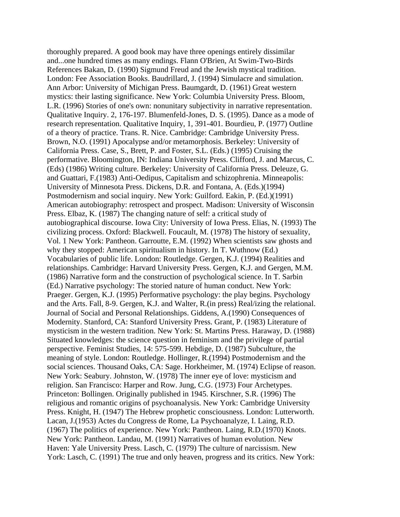thoroughly prepared. A good book may have three openings entirely dissimilar and...one hundred times as many endings. Flann O'Brien, At Swim-Two-Birds References Bakan, D. (1990) Sigmund Freud and the Jewish mystical tradition. London: Fee Association Books. Baudrillard, J. (1994) Simulacre and simulation. Ann Arbor: University of Michigan Press. Baumgardt, D. (1961) Great western mystics: their lasting significance. New York: Columbia University Press. Bloom, L.R. (1996) Stories of one's own: nonunitary subjectivity in narrative representation. Qualitative Inquiry. 2, 176-197. Blumenfeld-Jones, D. S. (1995). Dance as a mode of research representation. Qualitative Inquiry, 1, 391-401. Bourdieu, P. (1977) Outline of a theory of practice. Trans. R. Nice. Cambridge: Cambridge University Press. Brown, N.O. (1991) Apocalypse and/or metamorphosis. Berkeley: University of California Press. Case, S., Brett, P. and Foster, S.L. (Eds.) (1995) Cruising the performative. Bloomington, IN: Indiana University Press. Clifford, J. and Marcus, C. (Eds) (1986) Writing culture. Berkeley: University of California Press. Deleuze, G. and Guattari, F.(1983) Anti-Oedipus, Capitalism and schizophrenia. Minneapolis: University of Minnesota Press. Dickens, D.R. and Fontana, A. (Eds.)(1994) Postmodernism and social inquiry. New York: Guilford. Eakin, P. (Ed.)(1991) American autobiography: retrospect and prospect. Madison: University of Wisconsin Press. Elbaz, K. (1987) The changing nature of self: a critical study of autobiographical discourse. Iowa City: University of Iowa Press. Elias, N. (1993) The civilizing process. Oxford: Blackwell. Foucault, M. (1978) The history of sexuality, Vol. 1 New York: Pantheon. Garroutte, E.M. (1992) When scientists saw ghosts and why they stopped: American spiritualism in history. In T. Wuthnow (Ed.) Vocabularies of public life. London: Routledge. Gergen, K.J. (1994) Realities and relationships. Cambridge: Harvard University Press. Gergen, K.J. and Gergen, M.M. (1986) Narrative form and the construction of psychological science. In T. Sarbin (Ed.) Narrative psychology: The storied nature of human conduct. New York: Praeger. Gergen, K.J. (1995) Performative psychology: the play begins. Psychology and the Arts. Fall, 8-9. Gergen, K.J. and Walter, R.(in press) Real/izing the relational. Journal of Social and Personal Relationships. Giddens, A.(1990) Consequences of Modernity. Stanford, CA: Stanford University Press. Grant, P. (1983) Literature of mysticism in the western tradition. New York: St. Martins Press. Haraway, D. (1988) Situated knowledges: the science question in feminism and the privilege of partial perspective. Feminist Studies, 14: 575-599. Hebdige, D. (1987) Subculture, the meaning of style. London: Routledge. Hollinger, R.(1994) Postmodernism and the social sciences. Thousand Oaks, CA: Sage. Horkheimer, M. (1974) Eclipse of reason. New York: Seabury. Johnston, W. (1978) The inner eye of love: mysticism and religion. San Francisco: Harper and Row. Jung, C.G. (1973) Four Archetypes. Princeton: Bollingen. Originally published in 1945. Kirschner, S.R. (1996) The religious and romantic origins of psychoanalysis. New York: Cambridge University Press. Knight, H. (1947) The Hebrew prophetic consciousness. London: Lutterworth. Lacan, J.(1953) Actes du Congress de Rome, La Psychoanalyze, I. Laing, R.D. (1967) The politics of experience. New York: Pantheon. Laing, R.D.(1970) Knots. New York: Pantheon. Landau, M. (1991) Narratives of human evolution. New Haven: Yale University Press. Lasch, C. (1979) The culture of narcissism. New York: Lasch, C. (1991) The true and only heaven, progress and its critics. New York: